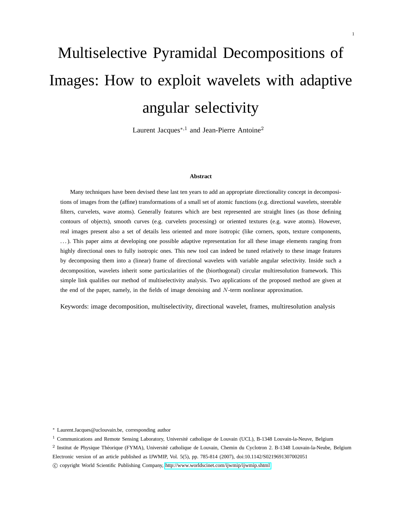# Multiselective Pyramidal Decompositions of Images: How to exploit wavelets with adaptive angular selectivity

Laurent Jacques<sup>∗,1</sup> and Jean-Pierre Antoine<sup>2</sup>

#### **Abstract**

Many techniques have been devised these last ten years to add an appropriate directionality concept in decompositions of images from the (affine) transformations of a small set of atomic functions (e.g. directional wavelets, steerable filters, curvelets, wave atoms). Generally features which are best represented are straight lines (as those defining contours of objects), smooth curves (e.g. curvelets processing) or oriented textures (e.g. wave atoms). However, real images present also a set of details less oriented and more isotropic (like corners, spots, texture components, . . . ). This paper aims at developing one possible adaptive representation for all these image elements ranging from highly directional ones to fully isotropic ones. This new tool can indeed be tuned relatively to these image features by decomposing them into a (linear) frame of directional wavelets with variable angular selectivity. Inside such a decomposition, wavelets inherit some particularities of the (biorthogonal) circular multiresolution framework. This simple link qualifies our method of multiselectivity analysis. Two applications of the proposed method are given at the end of the paper, namely, in the fields of image denoising and N-term nonlinear approximation.

Keywords: image decomposition, multiselectivity, directional wavelet, frames, multiresolution analysis

<sup>∗</sup> Laurent.Jacques@uclouvain.be, corresponding author

 $1$  Communications and Remote Sensing Laboratory, Université catholique de Louvain (UCL), B-1348 Louvain-la-Neuve, Belgium

<sup>2</sup> Institut de Physique Théorique (FYMA), Université catholique de Louvain, Chemin du Cyclotron 2. B-1348 Louvain-la-Neube, Belgium

Electronic version of an article published as IJWMIP, Vol. 5(5), pp. 785-814 (2007), doi:10.1142/S0219691307002051

c copyright World Scientific Publishing Company,<http://www.worldscinet.com/ijwmip/ijwmip.shtml>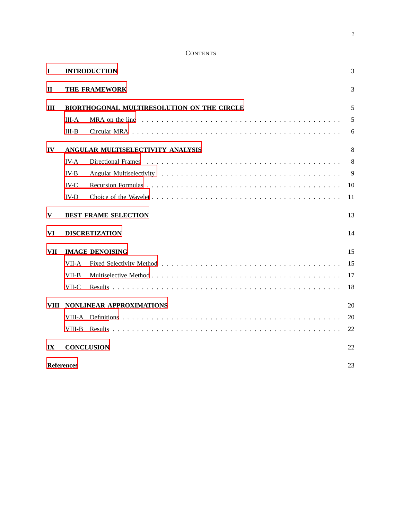# **CONTENTS**

| $\mathbf I$             | <b>INTRODUCTION</b>                        |                                                                                                                               |    |  |
|-------------------------|--------------------------------------------|-------------------------------------------------------------------------------------------------------------------------------|----|--|
| П                       | THE FRAMEWORK                              |                                                                                                                               |    |  |
| $\mathbf{I}$            | BIORTHOGONAL MULTIRESOLUTION ON THE CIRCLE |                                                                                                                               |    |  |
|                         | $III-A$                                    | MRA on the line $\dots \dots \dots \dots \dots \dots \dots \dots \dots \dots \dots \dots \dots \dots \dots \dots \dots \dots$ | 5  |  |
|                         | $III-B$                                    |                                                                                                                               | 6  |  |
| IV                      | ANGULAR MULTISELECTIVITY ANALYSIS          |                                                                                                                               |    |  |
|                         | $IV-A$                                     | Directional Frames                                                                                                            | 8  |  |
|                         | $IV-B$                                     |                                                                                                                               | 9  |  |
|                         | $IV-C$                                     |                                                                                                                               | 10 |  |
|                         | <b>IV-D</b>                                |                                                                                                                               | 11 |  |
| V                       | <b>BEST FRAME SELECTION</b><br>13          |                                                                                                                               |    |  |
| VI                      | <b>DISCRETIZATION</b><br>14                |                                                                                                                               |    |  |
| <b>VII</b>              | <b>IMAGE DENOISING</b>                     |                                                                                                                               | 15 |  |
|                         | VII-A                                      |                                                                                                                               | 15 |  |
|                         | VII-B                                      |                                                                                                                               | 17 |  |
|                         | VII-C                                      |                                                                                                                               | 18 |  |
| VIII                    | <b>NONLINEAR APPROXIMATIONS</b>            |                                                                                                                               |    |  |
|                         | VIII-A                                     |                                                                                                                               | 20 |  |
|                         | VIII-B                                     |                                                                                                                               | 22 |  |
| $\mathbf{I} \mathbf{X}$ | <b>CONCLUSION</b><br>22                    |                                                                                                                               |    |  |
| <b>References</b><br>23 |                                            |                                                                                                                               |    |  |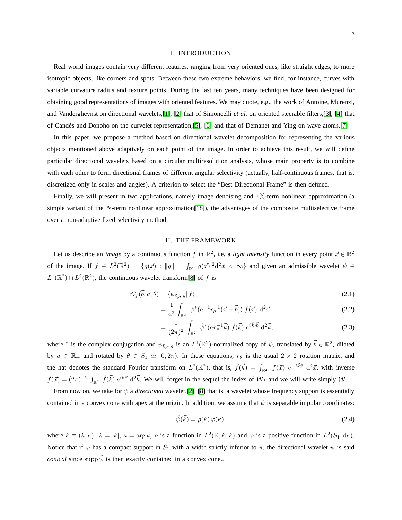#### I. INTRODUCTION

<span id="page-2-0"></span>Real world images contain very different features, ranging from very oriented ones, like straight edges, to more isotropic objects, like corners and spots. Between these two extreme behaviors, we find, for instance, curves with variable curvature radius and texture points. During the last ten years, many techniques have been designed for obtaining good representations of images with oriented features. We may quote, e.g., the work of Antoine, Murenzi, and Vandergheynst on directional wavelets,[\[1\]](#page-22-1), [\[2\]](#page-22-2) that of Simoncelli *et al.* on oriented steerable filters,[\[3\]](#page-22-3), [\[4\]](#page-22-4) that of Candès and Donoho on the curvelet representation,[\[5\]](#page-22-5), [\[6\]](#page-23-0) and that of Demanet and Ying on wave atoms.[\[7\]](#page-23-1)

In this paper, we propose a method based on directional wavelet decomposition for representing the various objects mentioned above adaptively on each point of the image. In order to achieve this result, we will define particular directional wavelets based on a circular multiresolution analysis, whose main property is to combine with each other to form directional frames of different angular selectivity (actually, half-continuous frames, that is, discretized only in scales and angles). A criterion to select the "Best Directional Frame" is then defined.

Finally, we will present in two applications, namely image denoising and  $\tau$ %-term nonlinear approximation (a simple variant of the N-term nonlinear approximation [\[18\]](#page-23-2)), the advantages of the composite multiselective frame over a non-adaptive fixed selectivity method.

## <span id="page-2-4"></span>II. THE FRAMEWORK

<span id="page-2-1"></span>Let us describe an *image* by a continuous function f in  $\mathbb{R}^2$ , i.e. a *light intensity* function in every point  $\vec{x} \in \mathbb{R}^2$ of the image. If  $f \in L^2(\mathbb{R}^2) = \{g(\vec{x}) : ||g|| = \int_{\mathbb{R}^2} |g(\vec{x})|^2 d^2 \vec{x} < \infty\}$  and given an admissible wavelet  $\psi \in$  $L^1(\mathbb{R}^2) \cap L^2(\mathbb{R}^2)$ , the continuous wavelet transform[\[8\]](#page-23-3) of f is

$$
\mathcal{W}_f(\vec{b}, a, \theta) = \langle \psi_{\vec{b}, a, \theta} | f \rangle \tag{2.1}
$$

$$
= \frac{1}{a^2} \int_{\mathbb{R}^2} \psi^*(a^{-1}r_{\theta}^{-1}(\vec{x} - \vec{b})) f(\vec{x}) d^2 \vec{x}
$$
 (2.2)

<span id="page-2-3"></span>
$$
= \frac{1}{(2\pi)^2} \int_{\mathbb{R}^2} \hat{\psi}^*(ar_{\theta}^{-1}\vec{k}) \hat{f}(\vec{k}) e^{i\vec{k}\cdot\vec{b}} d^2\vec{k}, \qquad (2.3)
$$

where \* is the complex conjugation and  $\psi_{\vec{b},a,\theta}$  is an  $L^1(\mathbb{R}^2)$ -normalized copy of  $\psi$ , translated by  $\vec{b} \in \mathbb{R}^2$ , dilated by  $a \in \mathbb{R}_+$  and rotated by  $\theta \in S_1 \simeq [0, 2\pi)$ . In these equations,  $r_\theta$  is the usual  $2 \times 2$  rotation matrix, and the hat denotes the standard Fourier transform on  $L^2(\mathbb{R}^2)$ , that is,  $\hat{f}(\vec{k}) = \int_{\mathbb{R}^2} f(\vec{x}) e^{-i\vec{k}\vec{x}} d^2\vec{x}$ , with inverse  $f(\vec{x}) = (2\pi)^{-2} \int_{\mathbb{R}^2} \hat{f}(\vec{k}) e^{i\vec{k}\vec{x}} d^2\vec{k}$ . We will forget in the sequel the index of  $\mathcal{W}_f$  and we will write simply W.

From now on, we take for  $\psi$  a *directional* wavelet, [\[2\]](#page-22-2), [\[8\]](#page-23-3) that is, a wavelet whose frequency support is essentially contained in a convex cone with apex at the origin. In addition, we assume that  $\psi$  is separable in polar coordinates:

<span id="page-2-2"></span>
$$
\hat{\psi}(\vec{k}) = \rho(k)\,\varphi(\kappa),\tag{2.4}
$$

where  $\vec{k} \equiv (k, \kappa), k = |\vec{k}|, \kappa = \arg \vec{k}, \rho$  is a function in  $L^2(\mathbb{R}, kdk)$  and  $\varphi$  is a positive function in  $L^2(S_1, dk)$ . Notice that if  $\varphi$  has a compact support in  $S_1$  with a width strictly inferior to  $\pi$ , the directional wavelet  $\psi$  is said *conical* since supp  $\hat{\psi}$  is then exactly contained in a convex cone..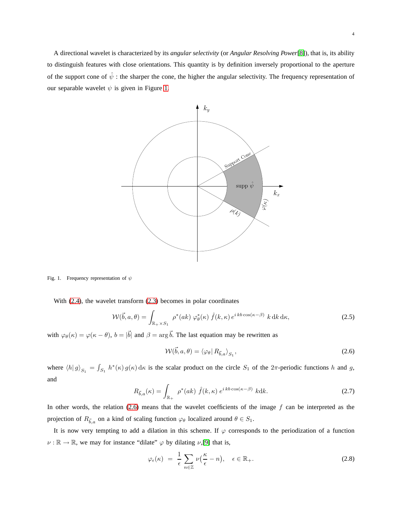A directional wavelet is characterized by its *angular selectivity* (or *Angular Resolving Power*[\[8\]](#page-23-3)), that is, its ability to distinguish features with close orientations. This quantity is by definition inversely proportional to the aperture of the support cone of  $\hat{\psi}$  : the sharper the cone, the higher the angular selectivity. The frequency representation of our separable wavelet  $\psi$  is given in Figure [1.](#page-3-0)



<span id="page-3-0"></span>Fig. 1. Frequency representation of  $\psi$ 

With [\(2.4\)](#page-2-2), the wavelet transform [\(2.3\)](#page-2-3) becomes in polar coordinates

$$
\mathcal{W}(\vec{b}, a, \theta) = \int_{\mathbb{R}_+ \times S_1} \rho^*(ak) \, \varphi^*_{\theta}(\kappa) \, \hat{f}(k, \kappa) \, e^{ikb \cos(\kappa - \beta)} \, k \, dk \, d\kappa,\tag{2.5}
$$

with  $\varphi_{\theta}(\kappa) = \varphi(\kappa - \theta)$ ,  $b = |\vec{b}|$  and  $\beta = \arg \vec{b}$ . The last equation may be rewritten as

<span id="page-3-1"></span>
$$
\mathcal{W}(\vec{b}, a, \theta) = \langle \varphi_{\theta} | R_{\vec{b}, a} \rangle_{S_1},
$$
\n(2.6)

where  $\langle h | g \rangle_{S_1} = \int_{S_1} h^*(\kappa) g(\kappa) d\kappa$  is the scalar product on the circle  $S_1$  of the  $2\pi$ -periodic functions h and g, and

$$
R_{\vec{b},a}(\kappa) = \int_{\mathbb{R}_+} \rho^*(ak) \hat{f}(k,\kappa) e^{ikb\cos(\kappa - \beta)} k \, dk. \tag{2.7}
$$

In other words, the relation  $(2.6)$  means that the wavelet coefficients of the image f can be interpreted as the projection of  $R_{\vec{b},a}$  on a kind of scaling function  $\varphi_\theta$  localized around  $\theta \in S_1$ .

It is now very tempting to add a dilation in this scheme. If  $\varphi$  corresponds to the periodization of a function  $\nu : \mathbb{R} \to \mathbb{R}$ , we may for instance "dilate"  $\varphi$  by dilating  $\nu$ , [\[9\]](#page-23-4) that is,

$$
\varphi_{\epsilon}(\kappa) = \frac{1}{\epsilon} \sum_{n \in \mathbb{Z}} \nu\left(\frac{\kappa}{\epsilon} - n\right), \quad \epsilon \in \mathbb{R}_+.
$$
 (2.8)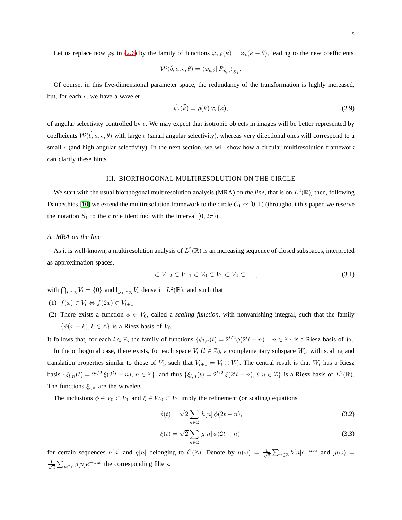Let us replace now  $\varphi_\theta$  in [\(2.6\)](#page-3-1) by the family of functions  $\varphi_{\epsilon,\theta}(\kappa) = \varphi_{\epsilon}(\kappa - \theta)$ , leading to the new coefficients

$$
\mathcal{W}(\vec{b}, a, \epsilon, \theta) = \langle \varphi_{\epsilon, \theta} | R_{\vec{b}, a} \rangle_{S_1}.
$$

Of course, in this five-dimensional parameter space, the redundancy of the transformation is highly increased, but, for each  $\epsilon$ , we have a wavelet

$$
\hat{\psi}_{\epsilon}(\vec{k}) = \rho(k)\,\varphi_{\epsilon}(\kappa),\tag{2.9}
$$

of angular selectivity controlled by  $\epsilon$ . We may expect that isotropic objects in images will be better represented by coefficients  $W(\vec{b}, a, \epsilon, \theta)$  with large  $\epsilon$  (small angular selectivity), whereas very directional ones will correspond to a small  $\epsilon$  (and high angular selectivity). In the next section, we will show how a circular multiresolution framework can clarify these hints.

## III. BIORTHOGONAL MULTIRESOLUTION ON THE CIRCLE

<span id="page-4-0"></span>We start with the usual biorthogonal multiresolution analysis (MRA) on *the line*, that is on  $L^2(\mathbb{R})$ , then, following Daubechies,[\[10\]](#page-23-5) we extend the multiresolution framework to the circle  $C_1 \simeq [0,1)$  (throughout this paper, we reserve the notation  $S_1$  to the circle identified with the interval  $[0, 2\pi)$ .

#### <span id="page-4-1"></span>*A. MRA on the line*

As it is well-known, a multiresolution analysis of  $L^2(\mathbb{R})$  is an increasing sequence of closed subspaces, interpreted as approximation spaces,

$$
\ldots \subset V_{-2} \subset V_{-1} \subset V_0 \subset V_1 \subset V_2 \subset \ldots,\tag{3.1}
$$

with  $\bigcap_{l \in \mathbb{Z}} V_l = \{0\}$  and  $\bigcup_{l \in \mathbb{Z}} V_l$  dense in  $L^2(\mathbb{R})$ , and such that

- (1)  $f(x) \in V_l \Leftrightarrow f(2x) \in V_{l+1}$
- (2) There exists a function  $\phi \in V_0$ , called a *scaling function*, with nonvanishing integral, such that the family  $\{\phi(x - k), k \in \mathbb{Z}\}\$ is a Riesz basis of  $V_0$ .

It follows that, for each  $l \in \mathbb{Z}$ , the family of functions  $\{\phi_{l,n}(t) = 2^{l/2}\phi(2^lt - n) : n \in \mathbb{Z}\}\)$  is a Riesz basis of  $V_l$ .

In the orthogonal case, there exists, for each space  $V_l$  ( $l \in \mathbb{Z}$ ), a complementary subspace  $W_l$ , with scaling and translation properties similar to those of  $V_l$ , such that  $V_{l+1} = V_l \oplus W_l$ . The central result is that  $W_l$  has a Riesz basis  $\{\xi_{l,n}(t) = 2^{l/2} \xi(2^l t - n), n \in \mathbb{Z}\}\$ , and thus  $\{\xi_{l,n}(t) = 2^{l/2} \xi(2^l t - n), l, n \in \mathbb{Z}\}\$  is a Riesz basis of  $L^2(\mathbb{R})$ . The functions  $\xi_{l,n}$  are the wavelets.

The inclusions  $\phi \in V_0 \subset V_1$  and  $\xi \in W_0 \subset V_1$  imply the refinement (or scaling) equations

<span id="page-4-2"></span>
$$
\phi(t) = \sqrt{2} \sum_{n \in \mathbb{Z}} h[n] \phi(2t - n),\tag{3.2}
$$

<span id="page-4-3"></span>
$$
\xi(t) = \sqrt{2} \sum_{n \in \mathbb{Z}} g[n] \phi(2t - n),\tag{3.3}
$$

for certain sequences  $h[n]$  and  $g[n]$  belonging to  $l^2(\mathbb{Z})$ . Denote by  $h(\omega) = \frac{1}{\sqrt{\omega}}$  $\frac{1}{2} \sum_{n \in \mathbb{Z}} h[n]e^{-in\omega}$  and  $g(\omega) =$ √ 1  $\frac{1}{2} \sum_{n \in \mathbb{Z}} g[n] e^{-in\omega}$  the corresponding filters.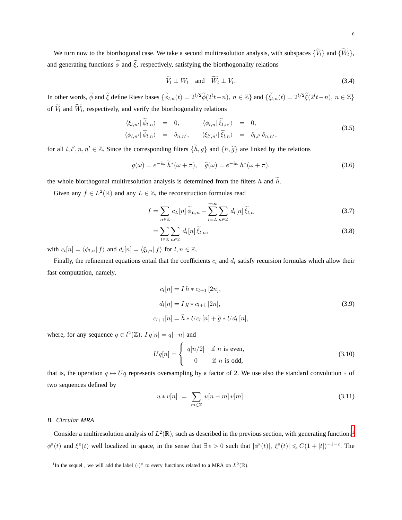<span id="page-5-3"></span>6

We turn now to the biorthogonal case. We take a second multiresolution analysis, with subspaces  $\{\widetilde{V}_l\}$  and  $\{\widetilde{W}_l\}$ , and generating functions  $\widetilde{\phi}$  and  $\widetilde{\xi}$ , respectively, satisfying the biorthogonality relations

$$
\widetilde{V}_l \perp W_l \quad \text{and} \quad \widetilde{W}_l \perp V_l. \tag{3.4}
$$

In other words,  $\widetilde{\phi}$  and  $\widetilde{\xi}$  define Riesz bases  $\{\widetilde{\phi}_{l,n}(t) = 2^{l/2} \widetilde{\phi}(2^l t - n), n \in \mathbb{Z}\}\$  and  $\{\widetilde{\xi}_{l,n}(t) = 2^{l/2} \widetilde{\xi}(2^l t - n), n \in \mathbb{Z}\}\$ of  $V_l$  and  $W_l$ , respectively, and verify the biorthogonality relations

<span id="page-5-2"></span>
$$
\langle \xi_{l,n'} | \tilde{\phi}_{l,n} \rangle = 0, \qquad \langle \phi_{l,n} | \tilde{\xi}_{l,n'} \rangle = 0, \langle \phi_{l,n'} | \tilde{\phi}_{l,n} \rangle = \delta_{n,n'}, \qquad \langle \xi_{l',n'} | \tilde{\xi}_{l,n} \rangle = \delta_{l,l'} \delta_{n,n'},
$$
\n(3.5)

for all  $l, l', n, n' \in \mathbb{Z}$ . Since the corresponding filters  $\{\tilde{h}, g\}$  and  $\{h, \tilde{g}\}$  are linked by the relations

$$
g(\omega) = e^{-i\omega} \widetilde{h}^*(\omega + \pi), \quad \widetilde{g}(\omega) = e^{-i\omega} h^*(\omega + \pi).
$$
 (3.6)

the whole biorthogonal multiresolution analysis is determined from the filters h and  $\tilde{h}$ .

Given any  $f \in L^2(\mathbb{R})$  and any  $L \in \mathbb{Z}$ , the reconstruction formulas read

$$
f = \sum_{n \in \mathbb{Z}} c_L[n] \widetilde{\phi}_{L,n} + \sum_{l=L}^{+\infty} \sum_{n \in \mathbb{Z}} d_l[n] \widetilde{\xi}_{l,n}
$$
 (3.7)

$$
=\sum_{l\in\mathbb{Z}}\sum_{n\in\mathbb{Z}}d_{l}[n]\,\tilde{\xi}_{l,n},\tag{3.8}
$$

with  $c_l[n] = \langle \phi_{l,n} | f \rangle$  and  $d_l[n] = \langle \xi_{l,n} | f \rangle$  for  $l, n \in \mathbb{Z}$ .

Finally, the refinement equations entail that the coefficients  $c_l$  and  $d_l$  satisfy recursion formulas which allow their fast computation, namely,

<span id="page-5-4"></span>
$$
c_l[n] = I h * c_{l+1} [2n],
$$
  
\n
$$
d_l[n] = I g * c_{l+1} [2n],
$$
  
\n
$$
c_{l+1}[n] = \tilde{h} * U c_l [n] + \tilde{g} * U d_l [n],
$$
\n(3.9)

where, for any sequence  $q \in l^2(\mathbb{Z})$ ,  $I q[n] = q[-n]$  and

<span id="page-5-5"></span>
$$
Uq[n] = \begin{cases} q[n/2] & \text{if } n \text{ is even,} \\ 0 & \text{if } n \text{ is odd,} \end{cases}
$$
 (3.10)

that is, the operation  $q \mapsto Uq$  represents oversampling by a factor of 2. We use also the standard convolution  $*$  of two sequences defined by

$$
u * v[n] = \sum_{m \in \mathbb{Z}} u[n-m] v[m]. \tag{3.11}
$$

# <span id="page-5-0"></span>*B. Circular MRA*

Consider a multiresolution analysis of  $L^2(\mathbb{R})$ , such as described in the previous section, with generating functions<sup>[1](#page-5-1)</sup>  $\phi^{\mathbb{R}}(t)$  and  $\xi^{\mathbb{R}}(t)$  well localized in space, in the sense that  $\exists \epsilon > 0$  such that  $|\phi^{\mathbb{R}}(t)|, |\xi^{\mathbb{R}}(t)| \leq C(1+|t|)^{-1-\epsilon}$ . The

<span id="page-5-1"></span><sup>1</sup>In the sequel, we will add the label  $(\cdot)^{\mathbb{R}}$  to every functions related to a MRA on  $L^2(\mathbb{R})$ .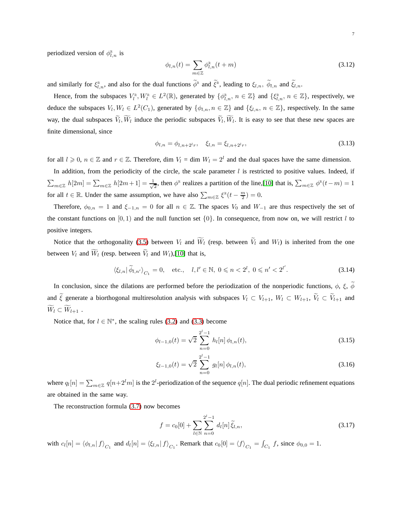periodized version of  $\phi_{l,n}^{\mathbb{R}}$  is

$$
\phi_{l,n}(t) = \sum_{m \in \mathbb{Z}} \phi_{l,n}^{\mathbb{R}}(t+m)
$$
\n(3.12)

and similarly for  $\xi_{l,n}^{\mathbb{R}}$ , and also for the dual functions  $\phi^{\mathbb{R}}$  and  $\zeta^{\mathbb{R}}$ , leading to  $\xi_{l,n}$ ,  $\phi_{l,n}$  and  $\xi_{l,n}$ .

Hence, from the subspaces  $V_l^{\mathbb{R}}, W_l^{\mathbb{R}} \in L^2(\mathbb{R})$ , generated by  $\{\phi_{l,n}^{\mathbb{R}}, n \in \mathbb{Z}\}\$  and  $\{\xi_{l,n}^{\mathbb{R}}, n \in \mathbb{Z}\}\$ , respectively, we deduce the subspaces  $V_l$ ,  $W_l \in L^2(C_1)$ , generated by  $\{\phi_{l,n}, n \in \mathbb{Z}\}\$  and  $\{\xi_{l,n}, n \in \mathbb{Z}\}\$ , respectively. In the same way, the dual subspaces  $V_l$ ,  $W_l$  induce the periodic subspaces  $V_l$ ,  $W_l$ . It is easy to see that these new spaces are finite dimensional, since

$$
\phi_{l,n} = \phi_{l,n+2^{l}r}, \quad \xi_{l,n} = \xi_{l,n+2^{l}r}, \tag{3.13}
$$

for all  $l \geq 0$ ,  $n \in \mathbb{Z}$  and  $r \in \mathbb{Z}$ . Therefore, dim  $V_l = \dim W_l = 2^l$  and the dual spaces have the same dimension.

In addition, from the periodicity of the circle, the scale parameter  $l$  is restricted to positive values. Indeed, if  $\sum_{m\in\mathbb{Z}}\,h[2m]=\sum_{m\in\mathbb{Z}}\,h[2m+1]=\frac{1}{\sqrt{2}}$  $\frac{1}{2}$ , then  $\phi^{\mathbb{R}}$  realizes a partition of the line,[\[10\]](#page-23-5) that is,  $\sum_{m \in \mathbb{Z}} \phi^{\mathbb{R}}(t-m) = 1$ for all  $t \in \mathbb{R}$ . Under the same assumption, we have also  $\sum_{m \in \mathbb{Z}} \xi^{\mathbb{R}}(t - \frac{m}{2}) = 0$ .

Therefore,  $\phi_{0,n} = 1$  and  $\xi_{-1,n} = 0$  for all  $n \in \mathbb{Z}$ . The spaces  $V_0$  and  $W_{-1}$  are thus respectively the set of the constant functions on [0, 1) and the null function set  $\{0\}$ . In consequence, from now on, we will restrict l to positive integers.

Notice that the orthogonality [\(3.5\)](#page-5-2) between  $V_l$  and  $\widetilde{W}_l$  (resp. between  $\widetilde{V}_l$  and  $W_l$ ) is inherited from the one between  $V_l$  and  $\widetilde{W}_l$  (resp. between  $\widetilde{V}_l$  and  $W_l$ ),[\[10\]](#page-23-5) that is,

$$
\langle \xi_{l,n} | \tilde{\phi}_{l,n'} \rangle_{C_1} = 0, \quad \text{etc.}, \quad l, l' \in \mathbb{N}, \ 0 \le n < 2^l, \ 0 \le n' < 2^{l'}.
$$
\n
$$
(3.14)
$$

In conclusion, since the dilations are performed before the periodization of the nonperiodic functions,  $\phi$ ,  $\xi$ ,  $\phi$ and  $\tilde{\xi}$  generate a biorthogonal multiresolution analysis with subspaces  $V_l \subset V_{l+1}$ ,  $W_l \subset W_{l+1}$ ,  $\tilde{V}_l \subset \tilde{V}_{l+1}$  and  $\widetilde{W}_l \subset \widetilde{W}_{l+1}$ .

Notice that, for  $l \in \mathbb{N}^*$ , the scaling rules [\(3.2\)](#page-4-2) and [\(3.3\)](#page-4-3) become

<span id="page-6-0"></span>
$$
\phi_{l-1,0}(t) = \sqrt{2} \sum_{n=0}^{2^l - 1} h_l[n] \phi_{l,n}(t),
$$
\n(3.15)

<span id="page-6-1"></span>
$$
\xi_{l-1,0}(t) = \sqrt{2} \sum_{n=0}^{2^l - 1} g_l[n] \phi_{l,n}(t), \qquad (3.16)
$$

where  $q_l[n] = \sum_{m \in \mathbb{Z}} q[n+2^l m]$  is the  $2^l$ -periodization of the sequence  $q[n]$ . The dual periodic refinement equations are obtained in the same way.

The reconstruction formula [\(3.7\)](#page-5-3) now becomes

$$
f = c_0[0] + \sum_{l \in \mathbb{N}} \sum_{n=0}^{2^l - 1} d_l[n] \tilde{\xi}_{l,n},
$$
\n(3.17)

with  $c_l[n] = \langle \phi_{l,n} | f \rangle_{C_1}$  and  $d_l[n] = \langle \xi_{l,n} | f \rangle_{C_1}$ . Remark that  $c_0[0] = \langle f \rangle_{C_1} = \int_{C_1} f$ , since  $\phi_{0,0} = 1$ .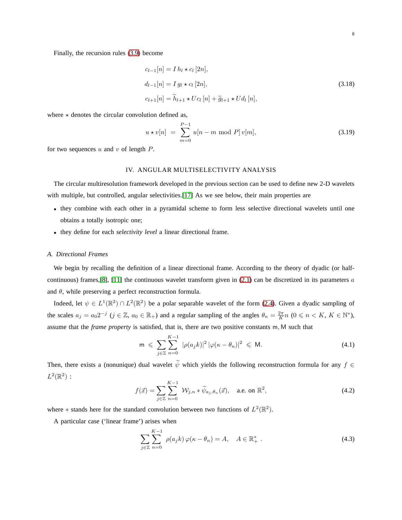Finally, the recursion rules [\(3.9\)](#page-5-4) become

<span id="page-7-4"></span>
$$
c_{l-1}[n] = I h_l \star c_l [2n],
$$
  
\n
$$
d_{l-1}[n] = I g_l \star c_l [2n],
$$
  
\n
$$
c_{l+1}[n] = \tilde{h}_{l+1} \star U c_l [n] + \tilde{g}_{l+1} \star U d_l [n],
$$
\n(3.18)

where  $\star$  denotes the circular convolution defined as,

$$
u * v[n] = \sum_{m=0}^{P-1} u[n-m \bmod P] v[m], \qquad (3.19)
$$

<span id="page-7-0"></span>for two sequences  $u$  and  $v$  of length  $P$ .

## IV. ANGULAR MULTISELECTIVITY ANALYSIS

The circular multiresolution framework developed in the previous section can be used to define new 2-D wavelets with multiple, but controlled, angular selectivities.[\[17\]](#page-23-6) As we see below, their main properties are

- they combine with each other in a pyramidal scheme to form less selective directional wavelets until one obtains a totally isotropic one;
- <span id="page-7-1"></span>• they define for each *selectivity level* a linear directional frame.

#### *A. Directional Frames*

We begin by recalling the definition of a linear directional frame. According to the theory of dyadic (or half-continuous) frames, [\[8\]](#page-23-3), [\[11\]](#page-23-7) the continuous wavelet transform given in  $(2.1)$  can be discretized in its parameters a and  $\theta$ , while preserving a perfect reconstruction formula.

Indeed, let  $\psi \in L^1(\mathbb{R}^2) \cap L^2(\mathbb{R}^2)$  be a polar separable wavelet of the form [\(2.4\)](#page-2-2). Given a dyadic sampling of the scales  $a_j = a_0 2^{-j}$  ( $j \in \mathbb{Z}$ ,  $a_0 \in \mathbb{R}_+$ ) and a regular sampling of the angles  $\theta_n = \frac{2\pi}{K} n$  ( $0 \le n \le K$ ,  $K \in \mathbb{N}^*$ ), assume that the *frame property* is satisfied, that is, there are two positive constants m, M such that

$$
\mathsf{m} \leqslant \sum_{j\in\mathbb{Z}}\sum_{n=0}^{K-1} |\rho(a_j k)|^2 |\varphi(\kappa - \theta_n)|^2 \leqslant \mathsf{M}.\tag{4.1}
$$

Then, there exists a (nonunique) dual wavelet  $\tilde{\psi}$  which yields the following reconstruction formula for any  $f \in$  $L^2(\mathbb{R}^2)$ :

<span id="page-7-2"></span>
$$
f(\vec{x}) = \sum_{j \in \mathbb{Z}} \sum_{n=0}^{K-1} \mathcal{W}_{j,n} * \widetilde{\psi}_{a_j,\theta_n}(\vec{x}), \quad \text{a.e. on } \mathbb{R}^2,
$$
 (4.2)

where  $*$  stands here for the standard convolution between two functions of  $L^2(\mathbb{R}^2)$ .

A particular case ('linear frame') arises when

<span id="page-7-3"></span>
$$
\sum_{j\in\mathbb{Z}}\sum_{n=0}^{K-1} \rho(a_j k)\,\varphi(\kappa - \theta_n) = A, \quad A \in \mathbb{R}_+^* \; . \tag{4.3}
$$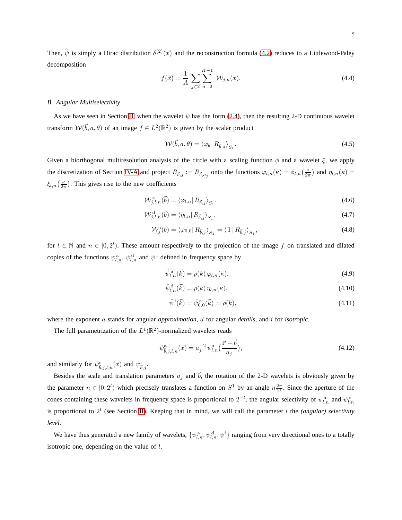Then,  $\psi$  is simply a Dirac distribution  $\delta^{(2)}(\vec{x})$  and the reconstruction formula [\(4.2\)](#page-7-2) reduces to a Littlewood-Paley decomposition

<span id="page-8-1"></span>
$$
f(\vec{x}) = \frac{1}{A} \sum_{j \in \mathbb{Z}} \sum_{n=0}^{K-1} \mathcal{W}_{j,n}(\vec{x}).
$$
 (4.4)

## <span id="page-8-0"></span>*B. Angular Multiselectivity*

As we have seen in Section [II,](#page-2-1) when the wavelet  $\psi$  has the form [\(2.4\)](#page-2-2), then the resulting 2-D continuous wavelet transform  $W(\vec{b}, a, \theta)$  of an image  $f \in L^2(\mathbb{R}^2)$  is given by the scalar product

$$
\mathcal{W}(\vec{b}, a, \theta) = \langle \varphi_{\theta} | R_{\vec{b}, a} \rangle_{S_1}.
$$
\n(4.5)

Given a biorthogonal multiresolution analysis of the circle with a scaling function  $\phi$  and a wavelet  $\xi$ , we apply the discretization of Section [IV-A](#page-7-1) and project  $R_{\vec{b},j} := R_{\vec{b},a_j}$  onto the functions  $\varphi_{l,n}(\kappa) = \varphi_{l,n}\left(\frac{\kappa}{2\pi}\right)$  and  $\eta_{l,n}(\kappa) =$  $\xi_{l,n}\left(\frac{\kappa}{2\pi}\right)$ . This gives rise to the new coefficients

$$
\mathcal{W}_{j,l,n}^{\mathrm{a}}(\vec{b}) = \langle \varphi_{l,n} | R_{\vec{b},j} \rangle_{S_1},\tag{4.6}
$$

$$
\mathcal{W}_{j,l,n}^{\mathrm{d}}(\vec{b}) = \langle \eta_{l,n} | R_{\vec{b},j} \rangle_{S_1},\tag{4.7}
$$

$$
\mathcal{W}_j^i(\vec{b}) = \langle \varphi_{0,0} | R_{\vec{b},j} \rangle_{S_1} = \langle 1 | R_{\vec{b},j} \rangle_{S_1},\tag{4.8}
$$

for  $l \in \mathbb{N}$  and  $n \in [0, 2^l)$ . These amount respectively to the projection of the image f on translated and dilated copies of the functions  $\psi_{l,n}^{\text{a}}, \psi_{l,n}^{\text{d}}$  and  $\psi^{\text{i}}$  defined in frequency space by

$$
\hat{\psi}_{l,n}^{\mathbf{a}}(\vec{k}) = \rho(k)\,\varphi_{l,n}(\kappa),\tag{4.9}
$$

$$
\hat{\psi}_{l,n}^{\mathbf{d}}(\vec{k}) = \rho(k)\,\eta_{l,n}(\kappa),\tag{4.10}
$$

$$
\hat{\psi}^i(\vec{k}) = \hat{\psi}_{0,0}^{\text{a}}(\vec{k}) = \rho(k),\tag{4.11}
$$

where the exponent a stands for angular *approximation*, d for angular *details*, and *i* for *isotropic*.

The full parametrization of the  $L^1(\mathbb{R}^2)$ -normalized wavelets reads

$$
\psi_{\vec{b},j,l,n}^{\mathbf{a}}(\vec{x}) = a_j^{-2} \psi_{l,n}^{\mathbf{a}}\left(\frac{\vec{x} - \vec{b}}{a_j}\right),\tag{4.12}
$$

and similarly for  $\psi^{\text{d}}_{\vec{b},j,l,n}(\vec{x})$  and  $\psi^{\text{i}}_{\vec{b},j}$ .

Besides the scale and translation parameters  $a_i$  and  $\vec{b}$ , the rotation of the 2-D wavelets is obviously given by the parameter  $n \in [0, 2^l)$  which precisely translates a function on  $S^1$  by an angle  $n \frac{2\pi}{2^l}$ . Since the aperture of the cones containing these wavelets in frequency space is proportional to  $2^{-l}$ , the angular selectivity of  $\psi_{l,n}^{\text{a}}$  and  $\psi_{l,n}^{\text{d}}$ is proportional to  $2^l$  (see Section [II\)](#page-2-1). Keeping that in mind, we will call the parameter  $l$  the *(angular) selectivity level*.

We have thus generated a new family of wavelets,  $\{\psi_{l,n}^{\text{a}}, \psi_{l,n}^{\text{d}}, \psi^i\}$  ranging from very directional ones to a totally isotropic one, depending on the value of l.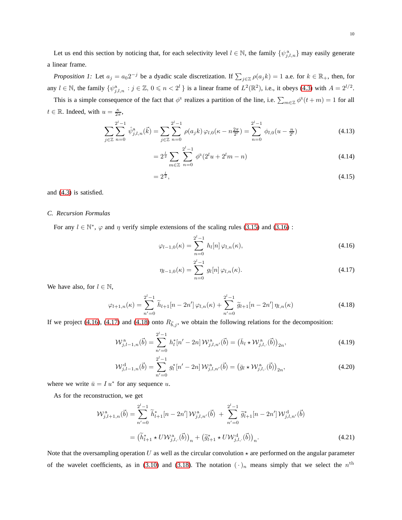<span id="page-9-7"></span>a linear frame.

*Proposition 1:* Let  $a_j = a_0 2^{-j}$  be a dyadic scale discretization. If  $\sum_{j \in \mathbb{Z}} \rho(a_j k) = 1$  a.e. for  $k \in \mathbb{R}_+$ , then, for any  $l \in \mathbb{N}$ , the family  $\{\psi_{j,l,n}^a : j \in \mathbb{Z}, 0 \leqslant n < 2^l\}$  is a linear frame of  $L^2(\mathbb{R}^2)$ , i.e., it obeys [\(4.3\)](#page-7-3) with  $A = 2^{l/2}$ .

This is a simple consequence of the fact that  $\phi^R$  realizes a partition of the line, i.e.  $\sum_{m\in\mathbb{Z}}\phi^R(t+m)=1$  for all  $t \in \mathbb{R}$ . Indeed, with  $u = \frac{\kappa}{2\pi}$ ,

$$
\sum_{j\in\mathbb{Z}}\sum_{n=0}^{2^l-1}\hat{\psi}_{j,l,n}^{\mathbf{a}}(\vec{k})=\sum_{j\in\mathbb{Z}}\sum_{n=0}^{2^l-1}\rho(a_jk)\,\varphi_{l,0}(\kappa-n\frac{2\pi}{2^l})=\sum_{n=0}^{2^l-1}\,\phi_{l,0}(u-\frac{n}{2^l})\tag{4.13}
$$

$$
=2^{\frac{l}{2}}\sum_{m\in\mathbb{Z}}\sum_{n=0}^{2^l-1}\phi^{\mathbb{R}}(2^lu+2^lm-n)
$$
\n(4.14)

$$
=2^{\frac{1}{2}},\tag{4.15}
$$

<span id="page-9-0"></span>and [\(4.3\)](#page-7-3) is satisfied.

## *C. Recursion Formulas*

For any  $l \in \mathbb{N}^*$ ,  $\varphi$  and  $\eta$  verify simple extensions of the scaling rules [\(3.15\)](#page-6-0) and [\(3.16\)](#page-6-1):

<span id="page-9-1"></span>
$$
\varphi_{l-1,0}(\kappa) = \sum_{n=0}^{2^l - 1} h_l[n] \varphi_{l,n}(\kappa), \qquad (4.16)
$$

<span id="page-9-5"></span><span id="page-9-4"></span><span id="page-9-2"></span>
$$
\eta_{l-1,0}(\kappa) = \sum_{n=0}^{2^l - 1} g_l[n] \varphi_{l,n}(\kappa).
$$
\n(4.17)

We have also, for  $l \in \mathbb{N}$ ,

<span id="page-9-3"></span>
$$
\varphi_{l+1,n}(\kappa) = \sum_{n'=0}^{2^l-1} \widetilde{h}_{l+1}[n-2n']\,\varphi_{l,n}(\kappa) + \sum_{n'=0}^{2^l-1} \widetilde{g}_{l+1}[n-2n']\,\eta_{l,n}(\kappa) \tag{4.18}
$$

If we project [\(4.16\)](#page-9-1), [\(4.17\)](#page-9-2) and [\(4.18\)](#page-9-3) onto  $R_{\vec{b},j}$ , we obtain the following relations for the decomposition:

$$
\mathcal{W}_{j,l-1,n}^{\mathbf{a}}(\vec{b}) = \sum_{n'=0}^{2^l-1} h_l^*[n'-2n] \mathcal{W}_{j,l,n'}^{\mathbf{a}}(\vec{b}) = (\bar{h}_l \star \mathcal{W}_{j,l,.}^{\mathbf{a}}(\vec{b}))_{2n},
$$
\n(4.19)

<span id="page-9-6"></span>
$$
\mathcal{W}_{j,l-1,n}^{\mathrm{d}}(\vec{b}) = \sum_{n'=0}^{2^l-1} g_l^* [n'-2n] \mathcal{W}_{j,l,n'}^{\mathrm{a}}(\vec{b}) = (\bar{g}_l \star \mathcal{W}_{j,l}^{\mathrm{a}}(\vec{b}))_{2n},
$$
\n(4.20)

where we write  $\bar{u} = I u^*$  for any sequence u.

As for the reconstruction, we get

$$
\mathcal{W}_{j,l+1,n}^{a}(\vec{b}) = \sum_{n'=0}^{2^{l}-1} \widetilde{h}_{l+1}^{*}[n-2n'] \mathcal{W}_{j,l,n'}^{a}(\vec{b}) + \sum_{n'=0}^{2^{l}-1} \widetilde{g}_{l+1}^{*}[n-2n'] \mathcal{W}_{j,l,n'}^{d}(\vec{b})
$$

$$
= (\widetilde{h}_{l+1}^{*} \star U \mathcal{W}_{j,l,.}^{a}(\vec{b}))_{n} + (\widetilde{g}_{l+1}^{*} \star U \mathcal{W}_{j,l,.}^{d}(\vec{b}))_{n}.
$$
(4.21)

Note that the oversampling operation U as well as the circular convolution  $\star$  are performed on the angular parameter of the wavelet coefficients, as in [\(3.10\)](#page-5-5) and [\(3.18\)](#page-7-4). The notation  $(\cdot)_n$  means simply that we select the  $n^{\text{th}}$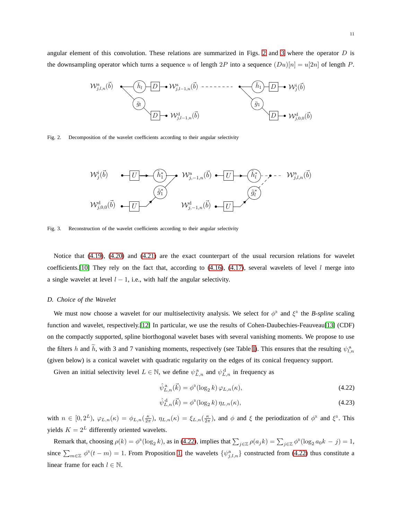angular element of this convolution. These relations are summarized in Figs. [2](#page-10-1) and [3](#page-10-2) where the operator  $D$  is the downsampling operator which turns a sequence u of length  $2P$  into a sequence  $(Du)[n] = u[2n]$  of length P.



<span id="page-10-1"></span>Fig. 2. Decomposition of the wavelet coefficients according to their angular selectivity

$$
\mathcal{W}_{j}^{\mathbf{i}}(\vec{b}) \qquad \qquad \overbrace{\begin{array}{c}\n\mathbf{U} \\
\mathbf{V}_{j,-1,n}^{\mathbf{a}}(\vec{b})\n\end{array}}^{\mathbf{W}_{j,-1,n}^{\mathbf{a}}(\vec{b})} \qquad\n \mathcal{W}_{j,-1,n}^{\mathbf{a}}(\vec{b}) \qquad \qquad \overbrace{\begin{array}{c}\n\mathbf{U} \\
\mathbf{U}\n\end{array}}^{\mathbf{W}_{j,-1,n}^{\mathbf{a}}(\vec{b})} \qquad\n \mathcal{W}_{j,0,0}^{\mathbf{d}}(\vec{b}) \qquad\n \qquad\n \mathcal{W}_{j,-1,n}^{\mathbf{d}}(\vec{b}) \qquad \qquad\n \mathcal{W}_{j,-1,n}^{\mathbf{d}}(\vec{b}) \qquad \qquad\n \mathcal{W}_{j,-1,n}^{\mathbf{d}}(\vec{b}) \qquad\n \qquad\n \mathcal{W}_{j,-1,n}^{\mathbf{d}}(\vec{b}) \qquad\n \qquad\n \mathcal{W}_{j,-1,n}^{\mathbf{d}}(\vec{b}) \qquad\n \qquad\n \mathcal{W}_{j,-1,n}^{\mathbf{d}}(\vec{b}) \qquad\n \qquad\n \mathcal{W}_{j,-1,n}^{\mathbf{d}}(\vec{b}) \qquad\n \qquad\n \mathcal{W}_{j,-1,n}^{\mathbf{d}}(\vec{b}) \qquad\n \qquad\n \mathcal{W}_{j,-1,n}^{\mathbf{d}}(\vec{b}) \qquad\n \qquad\n \mathcal{W}_{j,-1,n}^{\mathbf{d}}(\vec{b}) \qquad\n \qquad\n \mathcal{W}_{j,-1,n}^{\mathbf{d}}(\vec{b}) \qquad\n \qquad\n \mathcal{W}_{j,-1,n}^{\mathbf{d}}(\vec{b}) \qquad\n \qquad\n \mathcal{W}_{j,-1,n}^{\mathbf{d}}(\vec{b}) \qquad\n \qquad\n \mathcal{W}_{j,-1,n}^{\mathbf{d}}(\vec{b}) \qquad\n \qquad\n \mathcal{W}_{j,-1,n}^{\mathbf{d}}(\vec{b}) \qquad\n \qquad\n \mathcal{W}_{j,-1,n}^{\mathbf{d}}(\vec{b}) \qquad\n \qquad\n \mathcal{W}_{j,-1,n}^{\mathbf{d}}(\vec{b}) \qquad\n \qquad\n \mathcal{W}_{j,-1,n}^{\
$$

<span id="page-10-2"></span>Fig. 3. Reconstruction of the wavelet coefficients according to their angular selectivity

Notice that [\(4.19\)](#page-9-4), [\(4.20\)](#page-9-5) and [\(4.21\)](#page-9-6) are the exact counterpart of the usual recursion relations for wavelet coefficients.[\[10\]](#page-23-5) They rely on the fact that, according to  $(4.16)$ ,  $(4.17)$ , several wavelets of level l merge into a single wavelet at level  $l - 1$ , i.e., with half the angular selectivity.

## <span id="page-10-0"></span>*D. Choice of the Wavelet*

We must now choose a wavelet for our multiselectivity analysis. We select for  $\phi^R$  and  $\xi^R$  the *B-spline* scaling function and wavelet, respectively.[\[12\]](#page-23-8) In particular, we use the results of Cohen-Daubechies-Feauveau[\[13\]](#page-23-9) (CDF) on the compactly supported, spline biorthogonal wavelet bases with several vanishing moments. We propose to use the filters h and h, with 3 and 7 vanishing moments, respectively (see Table [I\)](#page-11-0). This ensures that the resulting  $\psi_{l,n}^a$ (given below) is a conical wavelet with quadratic regularity on the edges of its conical frequency support.

Given an initial selectivity level  $L \in \mathbb{N}$ , we define  $\psi_{L,n}^{\{a\}}$  and  $\psi_{L,n}^{\{d\}}$  in frequency as

<span id="page-10-3"></span>
$$
\hat{\psi}_{L,n}^{\mathbf{a}}(\vec{k}) = \phi^{\mathbf{R}}(\log_2 k) \,\varphi_{L,n}(\kappa),\tag{4.22}
$$

$$
\hat{\psi}_{L,n}^{\mathbf{d}}(\vec{k}) = \phi^{\mathbb{R}}(\log_2 k) \eta_{L,n}(\kappa),\tag{4.23}
$$

with  $n \in [0, 2^L)$ ,  $\varphi_{L,n}(\kappa) = \varphi_{L,n}(\frac{\kappa}{2\pi})$ ,  $\eta_{L,n}(\kappa) = \xi_{L,n}(\frac{\kappa}{2\pi})$ , and  $\phi$  and  $\xi$  the periodization of  $\phi^{\mathbb{R}}$  and  $\xi^{\mathbb{R}}$ . This yields  $K = 2^L$  differently oriented wavelets.

Remark that, choosing  $\rho(k) = \phi^* (\log_2 k)$ , as in [\(4.22\)](#page-10-3), implies that  $\sum_{j \in \mathbb{Z}} \rho(a_j k) = \sum_{j \in \mathbb{Z}} \phi^* (\log_2 a_0 k - j) = 1$ , since  $\sum_{m\in\mathbb{Z}} \phi^{(k)}(t-m) = 1$ . From Proposition [1,](#page-9-7) the wavelets  $\{\psi^{(k)}_{j,l,n}\}$  constructed from [\(4.22\)](#page-10-3) thus constitute a linear frame for each  $l \in \mathbb{N}$ .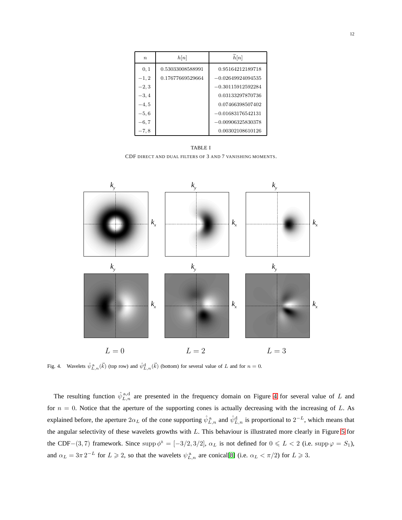| $\boldsymbol{n}$ | h[n]             | $\widetilde{h}[n]$  |
|------------------|------------------|---------------------|
| 0, 1             | 0.53033008588991 | 0.95164212189718    |
| $-1, 2$          | 0.17677669529664 | $-0.02649924094535$ |
| $-2, 3$          |                  | $-0.30115912592284$ |
| $-3, 4$          |                  | 0.03133297870736    |
| $-4, 5$          |                  | 0.07466398507402    |
| $-5, 6$          |                  | $-0.01683176542131$ |
| $-6,7$           |                  | $-0.00906325830378$ |
| $^{-7,8}$        |                  | 0.00302108610126    |

<span id="page-11-0"></span>TABLE I CDF DIRECT AND DUAL FILTERS OF 3 AND 7 VANISHING MOMENTS.



<span id="page-11-1"></span>Fig. 4. Wavelets  $\hat{\psi}_{L,n}^{\text{a}}(\vec{k})$  (top row) and  $\hat{\psi}_{L,n}^{\text{d}}(\vec{k})$  (bottom) for several value of L and for  $n=0$ .

The resulting function  $\hat{\psi}_{L,n}^{\text{a,d}}$  are presented in the frequency domain on Figure [4](#page-11-1) for several value of L and for  $n = 0$ . Notice that the aperture of the supporting cones is actually decreasing with the increasing of L. As explained before, the aperture  $2\alpha_L$  of the cone supporting  $\hat{\psi}_{L,n}^{\text{a}}$  and  $\hat{\psi}_{L,n}^{\text{d}}$  is proportional to  $2^{-L}$ , which means that the angular selectivity of these wavelets growths with  $L$ . This behaviour is illustrated more clearly in Figure [5](#page-12-1) for the CDF−(3,7) framework. Since supp  $\phi^{\mathbb{R}} = [-3/2, 3/2]$ ,  $\alpha_L$  is not defined for  $0 \le L < 2$  (i.e. supp  $\varphi = S_1$ ), and  $\alpha_L = 3\pi 2^{-L}$  for  $L \ge 2$ , so that the wavelets  $\psi_{L,n}^{\{a\}}$  are conical[\[8\]](#page-23-3) (i.e.  $\alpha_L < \pi/2$ ) for  $L \ge 3$ .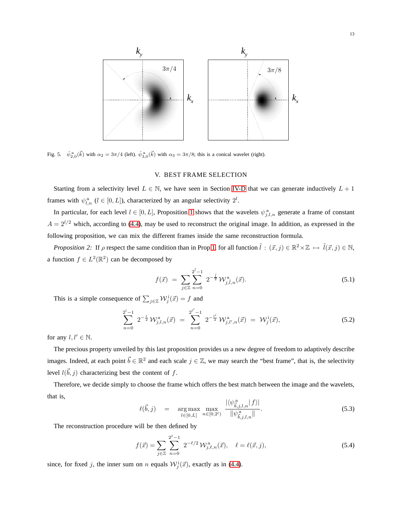

<span id="page-12-1"></span><span id="page-12-0"></span>Fig. 5.  $\hat{\psi}_{2,0}^{\text{a}}(\vec{k})$  with  $\alpha_2 = 3\pi/4$  (left).  $\hat{\psi}_{3,0}^{\text{a}}(\vec{k})$  with  $\alpha_3 = 3\pi/8$ ; this is a conical wavelet (right).

# V. BEST FRAME SELECTION

Starting from a selectivity level  $L \in \mathbb{N}$ , we have seen in Section [IV-D](#page-10-0) that we can generate inductively  $L + 1$ frames with  $\psi_{l,n}^a$  ( $l \in [0, L]$ ), characterized by an angular selectivity  $2^l$ .

In particular, for each level  $l \in [0, L]$ , Proposition [1](#page-9-7) shows that the wavelets  $\psi_{j,l,n}^{\{a\}}$  generate a frame of constant  $A = 2^{l/2}$  which, according to [\(4.4\)](#page-8-1), may be used to reconstruct the original image. In addition, as expressed in the following proposition, we can mix the different frames inside the same reconstruction formula.

*Proposition 2:* If  $\rho$  respect the same condition than in Prop[.1,](#page-9-7) for all function  $\tilde{l}$  :  $(\vec{x}, j) \in \mathbb{R}^2 \times \mathbb{Z} \mapsto \tilde{l}(\vec{x}, j) \in \mathbb{N}$ , a function  $f \in L^2(\mathbb{R}^2)$  can be decomposed by

$$
f(\vec{x}) = \sum_{j \in \mathbb{Z}} \sum_{n=0}^{2^{\bar{l}}-1} 2^{-\frac{\bar{l}}{2}} \mathcal{W}_{j,\tilde{l},n}^{\mathbf{a}}(\vec{x}). \tag{5.1}
$$

This is a simple consequence of  $\sum_{j\in\mathbb{Z}}\mathcal{W}_j^{\text{I}}(\vec{x})=f$  and

$$
\sum_{n=0}^{2^l-1} 2^{-\frac{l}{2}} W_{j,l,n}^a(\vec{x}) = \sum_{n=0}^{2^{l'}-1} 2^{-\frac{l'}{2}} W_{j,l',n}^a(\vec{x}) = W_j^i(\vec{x}), \qquad (5.2)
$$

for any  $l, l' \in \mathbb{N}$ .

The precious property unveiled by this last proposition provides us a new degree of freedom to adaptively describe images. Indeed, at each point  $\vec{b} \in \mathbb{R}^2$  and each scale  $j \in \mathbb{Z}$ , we may search the "best frame", that is, the selectivity level  $l(\vec{b}, j)$  characterizing best the content of f.

Therefore, we decide simply to choose the frame which offers the best match between the image and the wavelets, that is,  $\| f\|$ 

<span id="page-12-2"></span>
$$
\ell(\vec{b},j) = \underset{l \in [0,L]}{\arg \max} \max_{n \in [0,2^l)} \frac{|\langle \psi^{\mathbf{a}}_{\vec{b},j,l,n} | f \rangle|}{\|\psi^{\mathbf{a}}_{\vec{b},j,l,n}\|}.
$$
\n(5.3)

The reconstruction procedure will be then defined by

$$
f(\vec{x}) = \sum_{j \in \mathbb{Z}} \sum_{n=0}^{2^{\ell}-1} 2^{-\ell/2} \mathcal{W}_{j,\ell,n}^{a}(\vec{x}), \quad \ell = \ell(\vec{x},j), \tag{5.4}
$$

since, for fixed j, the inner sum on n equals  $\mathcal{W}^i_j(\vec{x})$ , exactly as in [\(4.4\)](#page-8-1).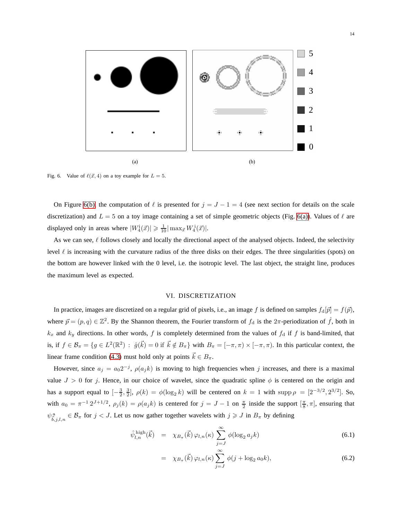<span id="page-13-2"></span>

<span id="page-13-1"></span>Fig. 6. Value of  $\ell(\vec{x}, 4)$  on a toy example for  $L = 5$ .

On Figure [6\(b\),](#page-13-1) the computation of  $\ell$  is presented for  $j = J - 1 = 4$  (see next section for details on the scale discretization) and  $L = 5$  on a toy image containing a set of simple geometric objects (Fig. [6\(a\)\)](#page-13-2). Values of  $\ell$  are displayed only in areas where  $|W_4^{\text{i}}(\vec{x})| \geq \frac{1}{10} |\max_{\vec{x}} W_4^{\text{i}}(\vec{x})|$ .

As we can see,  $\ell$  follows closely and locally the directional aspect of the analysed objects. Indeed, the selectivity level  $\ell$  is increasing with the curvature radius of the three disks on their edges. The three singularities (spots) on the bottom are however linked with the 0 level, i.e. the isotropic level. The last object, the straight line, produces the maximum level as expected.

## VI. DISCRETIZATION

<span id="page-13-0"></span>In practice, images are discretized on a regular grid of pixels, i.e., an image f is defined on samples  $f_d[\vec{p}] = f(\vec{p})$ , where  $\vec{p} = (p, q) \in \mathbb{Z}^2$ . By the Shannon theorem, the Fourier transform of  $f_d$  is the  $2\pi$ -periodization of  $\hat{f}$ , both in  $k_x$  and  $k_y$  directions. In other words, f is completely determined from the values of  $f_d$  if f is band-limited, that is, if  $f \in \mathcal{B}_{\pi} = \{g \in L^2(\mathbb{R}^2) : \hat{g}(\vec{k}) = 0 \text{ if } \vec{k} \notin B_{\pi}\}\$  with  $B_{\pi} = [-\pi, \pi) \times [-\pi, \pi)$ . In this particular context, the linear frame condition [\(4.3\)](#page-7-3) must hold only at points  $\vec{k} \in B_{\pi}$ .

However, since  $a_j = a_0 2^{-j}$ ,  $\rho(a_j k)$  is moving to high frequencies when j increases, and there is a maximal value  $J > 0$  for j. Hence, in our choice of wavelet, since the quadratic spline  $\phi$  is centered on the origin and has a support equal to  $[-\frac{3}{2}, \frac{3}{2}]$ ,  $\rho(k) = \phi(\log_2 k)$  will be centered on  $k = 1$  with  $\text{supp}\,\rho = [2^{-3/2}, 2^{3/2}]$ . So, with  $a_0 = \pi^{-1} 2^{J+1/2}$ ,  $\rho_j(k) = \rho(a_j k)$  is centered for  $j = J - 1$  on  $\frac{\pi}{2}$  inside the support  $[\frac{\pi}{8}, \pi]$ , ensuring that  $\psi_{\vec{b},j,l,n}^{\mathfrak{a}} \in \mathcal{B}_{\pi}$  for  $j < J$ . Let us now gather together wavelets with  $j \geq J$  in  $B_{\pi}$  by defining

<span id="page-13-3"></span>
$$
\hat{\psi}_{l,n}^{\text{high}}(\vec{k}) = \chi_{B_{\pi}}(\vec{k}) \varphi_{l,n}(\kappa) \sum_{j=J}^{\infty} \phi(\log_2 a_j k)
$$
\n(6.1)

$$
= \chi_{B_{\pi}}(\vec{k}) \varphi_{l,n}(\kappa) \sum_{j=J}^{\infty} \phi(j + \log_2 a_0 k), \qquad (6.2)
$$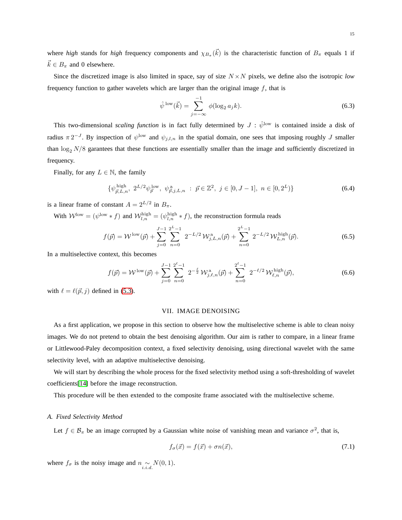where *high* stands for *high* frequency components and  $\chi_{B_{\pi}}(\vec{k})$  is the characteristic function of  $B_{\pi}$  equals 1 if  $\vec{k} \in B_{\pi}$  and 0 elsewhere.

Since the discretized image is also limited in space, say of size  $N \times N$  pixels, we define also the isotropic *low* frequency function to gather wavelets which are larger than the original image  $f$ , that is

$$
\hat{\psi}^{\text{low}}(\vec{k}) = \sum_{j=-\infty}^{-1} \phi(\log_2 a_j k). \tag{6.3}
$$

This two-dimensional *scaling function* is in fact fully determined by  $J : \hat{\psi}^{\text{low}}$  is contained inside a disk of radius  $\pi 2^{-J}$ . By inspection of  $\psi^{\text{low}}$  and  $\psi_{j,l,n}$  in the spatial domain, one sees that imposing roughly J smaller than  $\log_2 N/8$  garantees that these functions are essentially smaller than the image and sufficiently discretized in frequency.

Finally, for any  $L \in \mathbb{N}$ , the family

$$
\{\psi_{\vec{p},L,n}^{\text{high}}, 2^{L/2}\psi_{\vec{p}}^{\text{low}}, \psi_{\vec{p},j,L,n}^{\text{a}} : \vec{p} \in \mathbb{Z}^2, j \in [0, J-1], n \in [0, 2^L)\}\
$$
\n(6.4)

is a linear frame of constant  $A = 2^{L/2}$  in  $B_{\pi}$ .

With  $W^{\text{low}} = (\psi^{\text{low}} * f)$  and  $W^{\text{high}}_{l,n} = (\psi^{\text{high}} * f)$ , the reconstruction formula reads

<span id="page-14-3"></span>
$$
f(\vec{p}) = \mathcal{W}^{\text{low}}(\vec{p}) + \sum_{j=0}^{J-1} \sum_{n=0}^{2^L-1} 2^{-L/2} \mathcal{W}_{j,L,n}^{\text{a}}(\vec{p}) + \sum_{n=0}^{2^L-1} 2^{-L/2} \mathcal{W}_{L,n}^{\text{high}}(\vec{p}).
$$
 (6.5)

In a multiselective context, this becomes

<span id="page-14-4"></span>
$$
f(\vec{p}) = \mathcal{W}^{\text{low}}(\vec{p}) + \sum_{j=0}^{J-1} \sum_{n=0}^{2^{\ell}-1} 2^{-\frac{\ell}{2}} \mathcal{W}_{j,\ell,n}^{\text{a}}(\vec{p}) + \sum_{n=0}^{2^{\ell}-1} 2^{-\ell/2} \mathcal{W}_{\ell,n}^{\text{high}}(\vec{p}), \tag{6.6}
$$

<span id="page-14-0"></span>with  $\ell = \ell(\vec{p}, j)$  defined in [\(5.3\)](#page-12-2).

# VII. IMAGE DENOISING

As a first application, we propose in this section to observe how the multiselective scheme is able to clean noisy images. We do not pretend to obtain the best denoising algorithm. Our aim is rather to compare, in a linear frame or Littlewood-Paley decomposition context, a fixed selectivity denoising, using directional wavelet with the same selectivity level, with an adaptive multiselective denoising.

We will start by describing the whole process for the fixed selectivity method using a soft-thresholding of wavelet coefficients[\[14\]](#page-23-10) before the image reconstruction.

<span id="page-14-1"></span>This procedure will be then extended to the composite frame associated with the multiselective scheme.

#### *A. Fixed Selectivity Method*

Let  $f \in \mathcal{B}_{\pi}$  be an image corrupted by a Gaussian white noise of vanishing mean and variance  $\sigma^2$ , that is,

<span id="page-14-2"></span>
$$
f_{\sigma}(\vec{x}) = f(\vec{x}) + \sigma n(\vec{x}),\tag{7.1}
$$

where  $f_{\sigma}$  is the noisy image and  $n \sim N(0, 1)$ .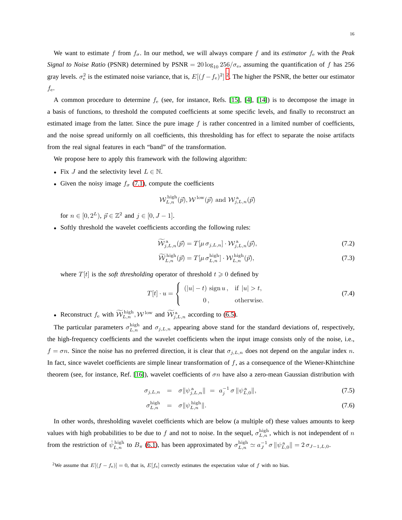We want to estimate f from  $f_{\sigma}$ . In our method, we will always compare f and its *estimator*  $f_e$  with the *Peak Signal to Noise Ratio* (PSNR) determined by PSNR =  $20 \log_{10} 256/\sigma_e$ , assuming the quantification of f has 256 gray levels.  $\sigma_e^2$  $\sigma_e^2$  is the estimated noise variance, that is,  $E[(f - f_e)^2]^2$ . The higher the PSNR, the better our estimator  $f_{\rm e}$ .

A common procedure to determine  $f_e$  (see, for instance, Refs. [\[15\]](#page-23-11), [\[4\]](#page-22-4), [\[14\]](#page-23-10)) is to decompose the image in a basis of functions, to threshold the computed coefficients at some specific levels, and finally to reconstruct an estimated image from the latter. Since the pure image  $f$  is rather concentred in a limited number of coefficients, and the noise spread uniformly on all coefficients, this thresholding has for effect to separate the noise artifacts from the real signal features in each "band" of the transformation.

We propose here to apply this framework with the following algorithm:

- Fix J and the selectivity level  $L \in \mathbb{N}$ .
- Given the noisy image  $f_{\sigma}$  [\(7.1\)](#page-14-2), compute the coefficients

$$
\mathcal{W}_{L,n}^{\textrm{high}}(\vec{p}), \mathcal{W}^{\mathrm{low}}(\vec{p})
$$
 and  $\mathcal{W}_{j,L,n}^{\textrm{a}}(\vec{p})$ 

for  $n \in [0, 2^L)$ ,  $\vec{p} \in \mathbb{Z}^2$  and  $j \in [0, J - 1]$ .

• Softly threshold the wavelet coefficients according the following rules:

$$
\widetilde{\mathcal{W}}_{j,L,n}^{\mathbf{a}}(\vec{p}) = T[\mu \sigma_{j,L,n}] \cdot \mathcal{W}_{j,L,n}^{\mathbf{a}}(\vec{p}),\tag{7.2}
$$

$$
\widetilde{\mathcal{W}}_{L,n}^{\text{high}}(\vec{p}) = T[\mu \sigma_{L,n}^{\text{high}}] \cdot \mathcal{W}_{L,n}^{\text{high}}(\vec{p}),\tag{7.3}
$$

where  $T[t]$  is the *soft thresholding* operator of threshold  $t \geq 0$  defined by

$$
T[t] \cdot u = \begin{cases} (|u| - t) \operatorname{sign} u, & \text{if } |u| > t, \\ 0, & \text{otherwise.} \end{cases}
$$
 (7.4)

• Reconstruct  $f_e$  with  $\widetilde{\mathcal{W}}_{L,n}^{\text{high}}, \mathcal{W}^{\text{low}}$  and  $\widetilde{\mathcal{W}}_{j,L,n}^{\text{a}}$  according to [\(6.5\)](#page-14-3).

The particular parameters  $\sigma_{L,n}^{\text{high}}$  and  $\sigma_{j,L,n}$  appearing above stand for the standard deviations of, respectively, the high-frequency coefficients and the wavelet coefficients when the input image consists only of the noise, i.e.,  $f = \sigma n$ . Since the noise has no preferred direction, it is clear that  $\sigma_{j,L,n}$  does not depend on the angular index n. In fact, since wavelet coefficients are simple linear transformation of  $f$ , as a consequence of the Wiener-Khintchine theorem (see, for instance, Ref. [\[16\]](#page-23-12)), wavelet coefficients of  $\sigma n$  have also a zero-mean Gaussian distribution with

$$
\sigma_{j,L,n} = \sigma \|\psi_{j,L,n}^{\rm a}\| = a_j^{-1} \sigma \|\psi_{L,0}^{\rm a}\|,\tag{7.5}
$$

$$
\sigma_{L,n}^{\text{high}} = \sigma \|\psi_{L,n}^{\text{high}}\|.\tag{7.6}
$$

In other words, thresholding wavelet coefficients which are below (a multiple of) these values amounts to keep values with high probabilities to be due to f and not to noise. In the sequel,  $\sigma_{L,n}^{\text{high}}$ , which is not independent of n from the restriction of  $\hat{\psi}_{L,n}^{\text{high}}$  to  $B_{\pi}$  [\(6.1\)](#page-13-3), has been approximated by  $\sigma_{L,n}^{\text{high}} \simeq a_J^{-1} \sigma \|\psi_{L,0}^{\text{a}}\| = 2 \sigma_{J-1,L,0}$ .

<span id="page-15-0"></span><sup>2</sup>We assume that  $E[(f - f_e)] = 0$ , that is,  $E[f_e]$  correctly estimates the expectation value of f with no bias.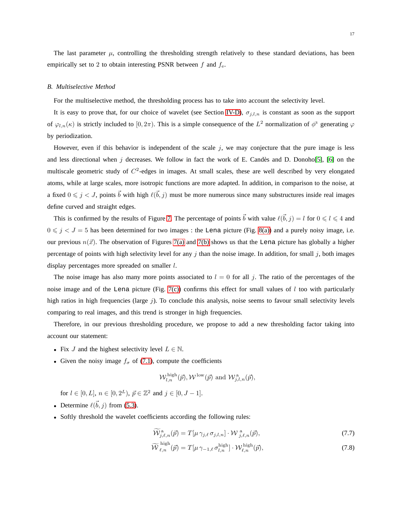The last parameter  $\mu$ , controlling the thresholding strength relatively to these standard deviations, has been empirically set to 2 to obtain interesting PSNR between  $f$  and  $f_e$ .

## <span id="page-16-0"></span>*B. Multiselective Method*

For the multiselective method, the thresholding process has to take into account the selectivity level.

It is easy to prove that, for our choice of wavelet (see Section [IV-D\)](#page-10-0),  $\sigma_{j,l,n}$  is constant as soon as the support of  $\varphi_{l,n}(\kappa)$  is strictly included to  $[0,2\pi)$ . This is a simple consequence of the  $L^2$  normalization of  $\phi^{\mathbb{R}}$  generating  $\varphi$ by periodization.

However, even if this behavior is independent of the scale  $j$ , we may conjecture that the pure image is less and less directional when j decreases. We follow in fact the work of E. Candès and D. Donoho[\[5\]](#page-22-5), [\[6\]](#page-23-0) on the multiscale geometric study of  $C<sup>2</sup>$ -edges in images. At small scales, these are well described by very elongated atoms, while at large scales, more isotropic functions are more adapted. In addition, in comparison to the noise, at a fixed  $0 \le j < J$ , points  $\vec{b}$  with high  $\ell(\vec{b},j)$  must be more numerous since many substructures inside real images define curved and straight edges.

This is confirmed by the results of Figure [7.](#page-17-1) The percentage of points  $\vec{b}$  with value  $\ell(\vec{b},j) = l$  for  $0 \le l \le 4$  and  $0 \le j \le J = 5$  has been determined for two images : the Lena picture (Fig. [8\(a\)\)](#page-18-0) and a purely noisy image, i.e. our previous  $n(\vec{x})$ . The observation of Figures [7\(a\)](#page-17-2) and [7\(b\)](#page-17-3) shows us that the Lena picture has globally a higher percentage of points with high selectivity level for any  $j$  than the noise image. In addition, for small  $j$ , both images display percentages more spreaded on smaller l.

The noise image has also many more points associated to  $l = 0$  for all j. The ratio of the percentages of the noise image and of the Lena picture (Fig. [7\(c\)\)](#page-17-4) confirms this effect for small values of  $l$  too with particularly high ratios in high frequencies (large j). To conclude this analysis, noise seems to favour small selectivity levels comparing to real images, and this trend is stronger in high frequencies.

Therefore, in our previous thresholding procedure, we propose to add a new thresholding factor taking into account our statement:

- Fix J and the highest selectivity level  $L \in \mathbb{N}$ .
- Given the noisy image  $f_{\sigma}$  of [\(7.1\)](#page-14-2), compute the coefficients

$$
\mathcal{W}_{l,n}^{\mathrm{high}}(\vec{p}), \mathcal{W}^{\mathrm{low}}(\vec{p}) \text{ and } \mathcal{W}_{j,l,n}^{\mathrm{a}}(\vec{p}),
$$

for  $l \in [0, L]$ ,  $n \in [0, 2^L)$ ,  $\vec{p} \in \mathbb{Z}^2$  and  $j \in [0, J - 1]$ .

- Determine  $\ell(\vec{b}, j)$  from [\(5.3\)](#page-12-2).
- Softly threshold the wavelet coefficients according the following rules:

$$
\widetilde{\mathcal{W}}_{j,\ell,n}^{\mathbf{a}}(\vec{p}) = T[\mu \gamma_{j,\ell} \sigma_{j,l,n}] \cdot \mathcal{W}_{j,\ell,n}^{\mathbf{a}}(\vec{p}), \qquad (7.7)
$$

$$
\widetilde{\mathcal{W}}_{\ell,n}^{\text{high}}(\vec{p}) = T[\mu \gamma_{-1,\ell} \sigma_{l,n}^{\text{high}}] \cdot \mathcal{W}_{\ell,n}^{\text{high}}(\vec{p}),\tag{7.8}
$$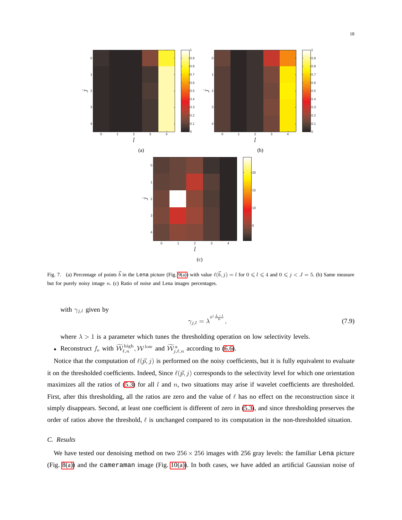<span id="page-17-3"></span><span id="page-17-2"></span>

<span id="page-17-1"></span>Fig. 7. (a) Percentage of points  $\vec{b}$  in the Lena picture (Fig. [9\(a\)\)](#page-19-2) with value  $\ell(\vec{b},j) = l$  for  $0 \le l \le 4$  and  $0 \le j < J = 5$ . (b) Same measure but for purely noisy image n. (c) Ratio of noise and Lena images percentages.

with  $\gamma_{j,l}$  given by

<span id="page-17-4"></span>
$$
\gamma_{j,l} = \lambda^{2^j \frac{L-l}{L}},\tag{7.9}
$$

where  $\lambda > 1$  is a parameter which tunes the thresholding operation on low selectivity levels.

• Reconstruct  $f_e$  with  $\widetilde{\mathcal{W}}_{\ell,n}^{\text{high}}, \mathcal{W}^{\text{low}}$  and  $\widetilde{\mathcal{W}}_{j,\ell,n}^{\text{a}}$  according to [\(6.6\)](#page-14-4).

Notice that the computation of  $\ell(\vec{p}, j)$  is performed on the noisy coefficients, but it is fully equivalent to evaluate it on the thresholded coefficients. Indeed, Since  $\ell(\vec{p},j)$  corresponds to the selectivity level for which one orientation maximizes all the ratios of [\(5.3\)](#page-12-2) for all  $l$  and  $n$ , two situations may arise if wavelet coefficients are thresholded. First, after this thresholding, all the ratios are zero and the value of  $\ell$  has no effect on the reconstruction since it simply disappears. Second, at least one coefficient is different of zero in [\(5.3\)](#page-12-2), and since thresholding preserves the order of ratios above the threshold,  $\ell$  is unchanged compared to its computation in the non-thresholded situation.

## <span id="page-17-0"></span>*C. Results*

We have tested our denoising method on two  $256 \times 256$  images with 256 gray levels: the familiar Lena picture (Fig. [8\(a\)\)](#page-18-0) and the cameraman image (Fig. [10\(a\)\)](#page-20-0). In both cases, we have added an artificial Gaussian noise of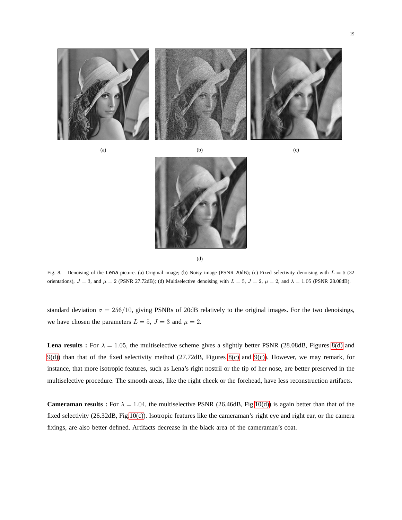<span id="page-18-0"></span>

<span id="page-18-2"></span>



<span id="page-18-1"></span>(d)

<span id="page-18-3"></span>Fig. 8. Denoising of the Lena picture. (a) Original image; (b) Noisy image (PSNR 20dB); (c) Fixed selectivity denoising with  $L = 5$  (32) orientations),  $J = 3$ , and  $\mu = 2$  (PSNR 27.72dB); (d) Multiselective denoising with  $L = 5$ ,  $J = 2$ ,  $\mu = 2$ , and  $\lambda = 1.05$  (PSNR 28.08dB).

standard deviation  $\sigma = 256/10$ , giving PSNRs of 20dB relatively to the original images. For the two denoisings, we have chosen the parameters  $L = 5$ ,  $J = 3$  and  $\mu = 2$ .

**Lena results :** For  $\lambda = 1.05$ , the multiselective scheme gives a slightly better PSNR (28.08dB, Figures [8\(d\)](#page-18-1) and [9\(d\)\)](#page-19-3) than that of the fixed selectivity method (27.72dB, Figures [8\(c\)](#page-18-2) and [9\(c\)\)](#page-19-4). However, we may remark, for instance, that more isotropic features, such as Lena's right nostril or the tip of her nose, are better preserved in the multiselective procedure. The smooth areas, like the right cheek or the forehead, have less reconstruction artifacts.

**Cameraman results :** For  $\lambda = 1.04$ , the multiselective PSNR (26.46dB, Fig[.10\(d\)\)](#page-20-1) is again better than that of the fixed selectivity (26.32dB, Fig[.10\(c\)\)](#page-20-2). Isotropic features like the cameraman's right eye and right ear, or the camera fixings, are also better defined. Artifacts decrease in the black area of the cameraman's coat.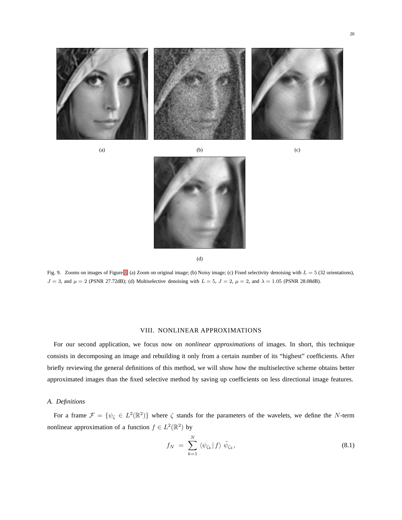<span id="page-19-2"></span>

(a)  $(b)$  (c)

<span id="page-19-4"></span>



<span id="page-19-3"></span>(d)

Fig. 9. Zooms on images of Figure [8.](#page-18-3) (a) Zoom on original image; (b) Noisy image; (c) Fixed selectivity denoising with  $L = 5$  (32 orientations),  $J = 3$ , and  $\mu = 2$  (PSNR 27.72dB); (d) Multiselective denoising with  $L = 5$ ,  $J = 2$ ,  $\mu = 2$ , and  $\lambda = 1.05$  (PSNR 28.08dB).

## VIII. NONLINEAR APPROXIMATIONS

<span id="page-19-0"></span>For our second application, we focus now on *nonlinear approximations* of images. In short, this technique consists in decomposing an image and rebuilding it only from a certain number of its "highest" coefficients. After briefly reviewing the general definitions of this method, we will show how the multiselective scheme obtains better approximated images than the fixed selective method by saving up coefficients on less directional image features.

## <span id="page-19-1"></span>*A. Definitions*

For a frame  $\mathcal{F} = \{ \psi_{\zeta} \in L^2(\mathbb{R}^2) \}$  where  $\zeta$  stands for the parameters of the wavelets, we define the N-term nonlinear approximation of a function  $f \in L^2(\mathbb{R}^2)$  by

$$
f_N = \sum_{k=1}^N \langle \psi_{\zeta_k} | f \rangle \tilde{\psi}_{\zeta_k}, \qquad (8.1)
$$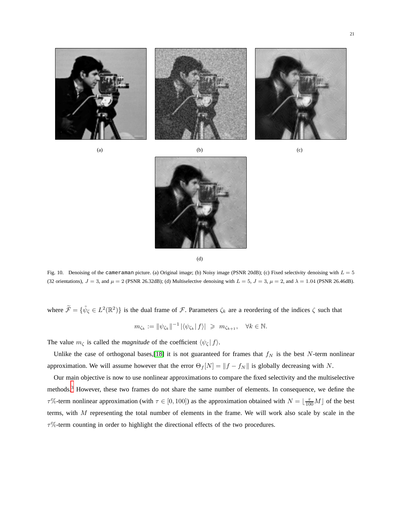<span id="page-20-0"></span>

<span id="page-20-2"></span>



<span id="page-20-1"></span>(d)

Fig. 10. Denoising of the cameraman picture. (a) Original image; (b) Noisy image (PSNR 20dB); (c) Fixed selectivity denoising with  $L = 5$ (32 orientations),  $J = 3$ , and  $\mu = 2$  (PSNR 26.32dB); (d) Multiselective denoising with  $L = 5$ ,  $J = 3$ ,  $\mu = 2$ , and  $\lambda = 1.04$  (PSNR 26.46dB).

where  $\tilde{\mathcal{F}} = {\tilde{\psi}_{\zeta} \in L^2(\mathbb{R}^2)}$  is the dual frame of  $\mathcal{F}$ . Parameters  $\zeta_k$  are a reordering of the indices  $\zeta$  such that

$$
m_{\zeta_k} := \|\psi_{\zeta_k}\|^{-1} |\langle \psi_{\zeta_k} | f \rangle| \geq m_{\zeta_{k+1}}, \quad \forall k \in \mathbb{N}.
$$

The value  $m_{\zeta}$  is called the *magnitude* of the coefficient  $\langle \psi_{\zeta} | f \rangle$ .

Unlike the case of orthogonal bases,[\[18\]](#page-23-2) it is not guaranteed for frames that  $f_N$  is the best N-term nonlinear approximation. We will assume however that the error  $\Theta_f[N] = ||f - f_N||$  is globally decreasing with N.

Our main objective is now to use nonlinear approximations to compare the fixed selectivity and the multiselective methods.[3](#page-21-2) However, these two frames do not share the same number of elements. In consequence, we define the  $τ\%$ -term nonlinear approximation (with  $τ ∈ [0, 100]$ ) as the approximation obtained with  $N = \lfloor \frac{τ}{100}M \rfloor$  of the best terms, with  $M$  representing the total number of elements in the frame. We will work also scale by scale in the  $\tau$ %-term counting in order to highlight the directional effects of the two procedures.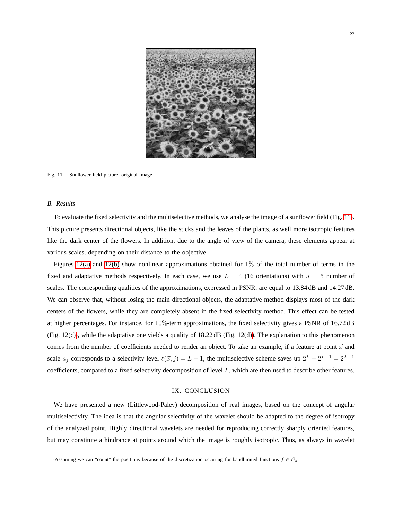

Fig. 11. Sunflower field picture, original image

## <span id="page-21-3"></span><span id="page-21-0"></span>*B. Results*

To evaluate the fixed selectivity and the multiselective methods, we analyse the image of a sunflower field (Fig. [11\)](#page-21-3). This picture presents directional objects, like the sticks and the leaves of the plants, as well more isotropic features like the dark center of the flowers. In addition, due to the angle of view of the camera, these elements appear at various scales, depending on their distance to the objective.

Figures [12\(a\)](#page-22-6) and [12\(b\)](#page-22-7) show nonlinear approximations obtained for  $1\%$  of the total number of terms in the fixed and adaptative methods respectively. In each case, we use  $L = 4$  (16 orientations) with  $J = 5$  number of scales. The corresponding qualities of the approximations, expressed in PSNR, are equal to 13.84 dB and 14.27 dB. We can observe that, without losing the main directional objects, the adaptative method displays most of the dark centers of the flowers, while they are completely absent in the fixed selectivity method. This effect can be tested at higher percentages. For instance, for 10%-term approximations, the fixed selectivity gives a PSNR of 16.72 dB (Fig. [12\(c\)\)](#page-22-8), while the adaptative one yields a quality of  $18.22 \text{ dB}$  (Fig. [12\(d\)\)](#page-22-9). The explanation to this phenomenon comes from the number of coefficients needed to render an object. To take an example, if a feature at point  $\vec{x}$  and scale  $a_j$  corresponds to a selectivity level  $\ell(\vec{x},j) = L - 1$ , the multiselective scheme saves up  $2^L - 2^{L-1} = 2^{L-1}$ coefficients, compared to a fixed selectivity decomposition of level  $L$ , which are then used to describe other features.

# IX. CONCLUSION

<span id="page-21-1"></span>We have presented a new (Littlewood-Paley) decomposition of real images, based on the concept of angular multiselectivity. The idea is that the angular selectivity of the wavelet should be adapted to the degree of isotropy of the analyzed point. Highly directional wavelets are needed for reproducing correctly sharply oriented features, but may constitute a hindrance at points around which the image is roughly isotropic. Thus, as always in wavelet

<span id="page-21-2"></span><sup>&</sup>lt;sup>3</sup>Assuming we can "count" the positions because of the discretization occuring for bandlimited functions  $f \in \mathcal{B}_{\pi}$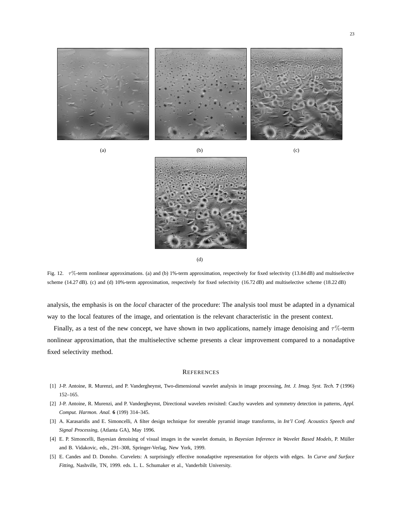<span id="page-22-6"></span>

(a)  $(b)$  (c)

<span id="page-22-8"></span><span id="page-22-7"></span>

<span id="page-22-9"></span>(d)

Fig. 12.  $\tau\%$ -term nonlinear approximations. (a) and (b) 1%-term approximation, respectively for fixed selectivity (13.84 dB) and multiselective scheme (14.27 dB). (c) and (d) 10%-term approximation, respectively for fixed selectivity (16.72 dB) and multiselective scheme (18.22 dB)

analysis, the emphasis is on the *local* character of the procedure: The analysis tool must be adapted in a dynamical way to the local features of the image, and orientation is the relevant characteristic in the present context.

Finally, as a test of the new concept, we have shown in two applications, namely image denoising and  $\tau$ %-term nonlinear approximation, that the multiselective scheme presents a clear improvement compared to a nonadaptive fixed selectivity method.

## **REFERENCES**

- <span id="page-22-2"></span><span id="page-22-1"></span><span id="page-22-0"></span>[1] J-P. Antoine, R. Murenzi, and P. Vandergheynst, Two-dimensional wavelet analysis in image processing, *Int. J. Imag. Syst. Tech.* **7** (1996) 152–165.
- <span id="page-22-3"></span>[2] J-P. Antoine, R. Murenzi, and P. Vandergheynst, Directional wavelets revisited: Cauchy wavelets and symmetry detection in patterns, *Appl. Comput. Harmon. Anal.* **6** (199) 314–345.
- <span id="page-22-4"></span>[3] A. Karasaridis and E. Simoncelli, A filter design technique for steerable pyramid image transforms, in *Int'l Conf. Acoustics Speech and Signal Processing*, (Atlanta GA), May 1996.
- <span id="page-22-5"></span>[4] E. P. Simoncelli, Bayesian denoising of visual images in the wavelet domain, in *Bayesian Inference in Wavelet Based Models*, P. Müller and B. Vidakovic, eds., 291–308, Springer-Verlag, New York, 1999.
- [5] E. Candes and D. Donoho. Curvelets: A surprisingly effective nonadaptive representation for objects with edges. In *Curve and Surface Fitting*, Nashville, TN, 1999. eds. L. L. Schumaker et al., Vanderbilt University.